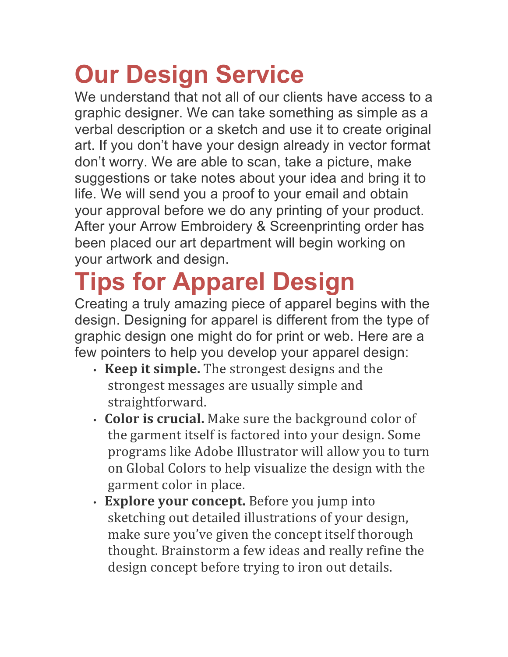# **Our Design Service**

We understand that not all of our clients have access to a graphic designer. We can take something as simple as a verbal description or a sketch and use it to create original art. If you don't have your design already in vector format don't worry. We are able to scan, take a picture, make suggestions or take notes about your idea and bring it to life. We will send you a proof to your email and obtain your approval before we do any printing of your product. After your Arrow Embroidery & Screenprinting order has been placed our art department will begin working on your artwork and design.

## **Tips for Apparel Design**

Creating a truly amazing piece of apparel begins with the design. Designing for apparel is different from the type of graphic design one might do for print or web. Here are a few pointers to help you develop your apparel design:

- **Keep it simple.** The strongest designs and the strongest messages are usually simple and straightforward.
- **Color is crucial.** Make sure the background color of the garment itself is factored into your design. Some programs like Adobe Illustrator will allow you to turn on Global Colors to help visualize the design with the garment color in place.
- **Explore your concept.** Before you jump into sketching out detailed illustrations of your design, make sure you've given the concept itself thorough thought. Brainstorm a few ideas and really refine the design concept before trying to iron out details.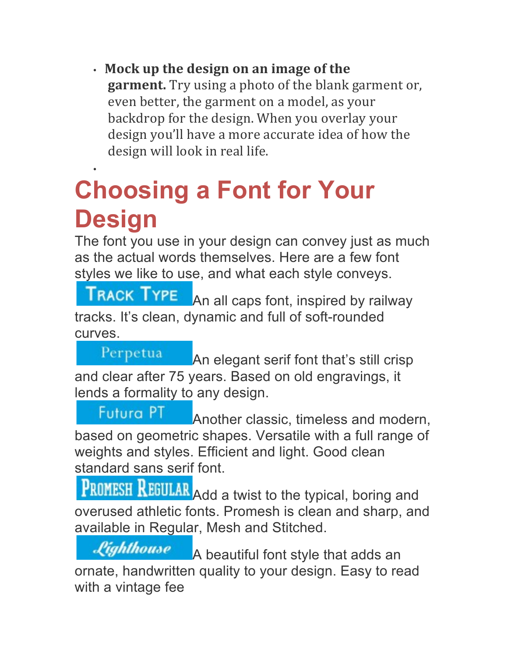• **Mock up the design on an image of the**  garment. Try using a photo of the blank garment or, even better, the garment on a model, as your backdrop for the design. When you overlay your design you'll have a more accurate idea of how the design will look in real life.

#### • **Choosing a Font for Your Design**

The font you use in your design can convey just as much as the actual words themselves. Here are a few font styles we like to use, and what each style conveys.

**TRACK TYPE** An all caps font, inspired by railway tracks. It's clean, dynamic and full of soft-rounded curves.

Perpetua An elegant serif font that's still crisp and clear after 75 years. Based on old engravings, it lends a formality to any design.

**Futura PT** Another classic, timeless and modern, based on geometric shapes. Versatile with a full range of weights and styles. Efficient and light. Good clean standard sans serif font.

**PROMESH REGULAR** Add a twist to the typical, boring and overused athletic fonts. Promesh is clean and sharp, and available in Regular, Mesh and Stitched.

Lighthouse A beautiful font style that adds an ornate, handwritten quality to your design. Easy to read with a vintage fee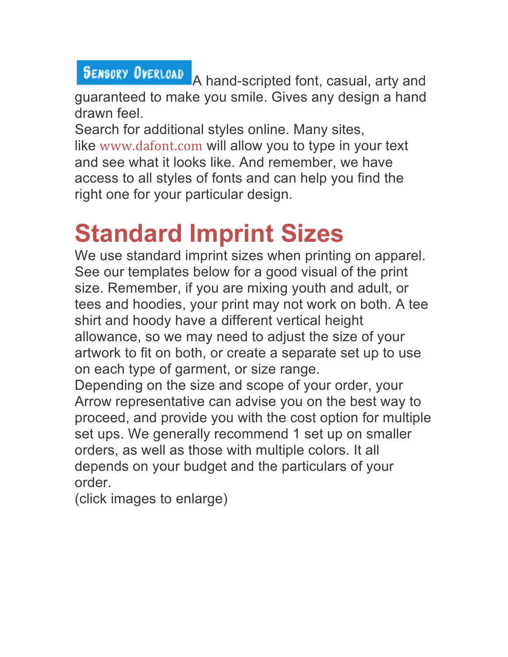**SENSORY OVERLOAD** A hand-scripted font, casual, arty and guaranteed to make you smile. Gives any design a hand drawn feel.

Search for additional styles online. Many sites, like www.dafont.com will allow you to type in your text and see what it looks like. And remember, we have access to all styles of fonts and can help you find the right one for your particular design.

### **Standard Imprint Sizes**

We use standard imprint sizes when printing on apparel. See our templates below for a good visual of the print size. Remember, if you are mixing youth and adult, or tees and hoodies, your print may not work on both. A tee shirt and hoody have a different vertical height allowance, so we may need to adjust the size of your artwork to fit on both, or create a separate set up to use on each type of garment, or size range.

Depending on the size and scope of your order, your Arrow representative can advise you on the best way to proceed, and provide you with the cost option for multiple set ups. We generally recommend 1 set up on smaller orders, as well as those with multiple colors. It all depends on your budget and the particulars of your order.

(click images to enlarge)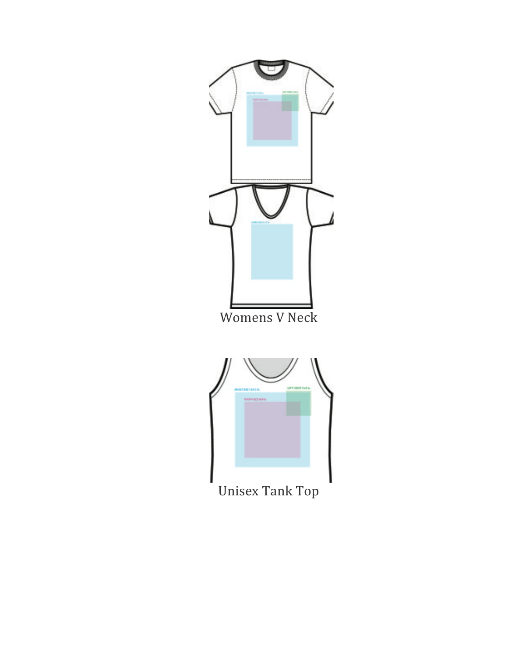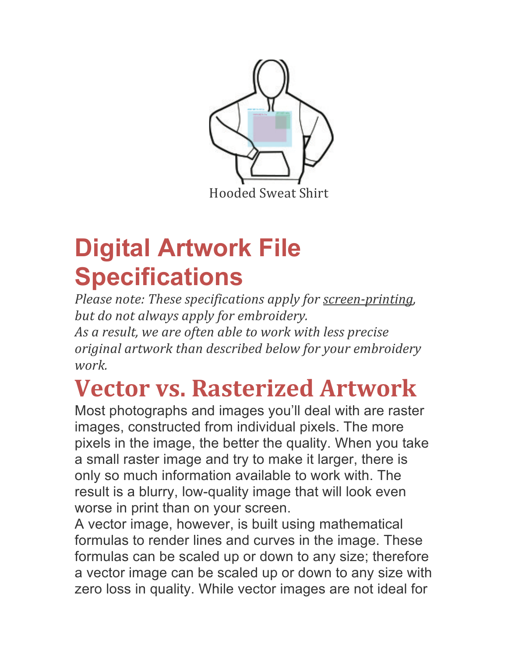

### **Digital Artwork File Specifications**

*Please note: These specifications apply for <u>screen-printing</u>, but do not always apply for embroidery.* As a result, we are often able to work with less precise *original artwork than described below for your embroidery work.*

### **Vector vs. Rasterized Artwork**

Most photographs and images you'll deal with are raster images, constructed from individual pixels. The more pixels in the image, the better the quality. When you take a small raster image and try to make it larger, there is only so much information available to work with. The result is a blurry, low-quality image that will look even worse in print than on your screen.

A vector image, however, is built using mathematical formulas to render lines and curves in the image. These formulas can be scaled up or down to any size; therefore a vector image can be scaled up or down to any size with zero loss in quality. While vector images are not ideal for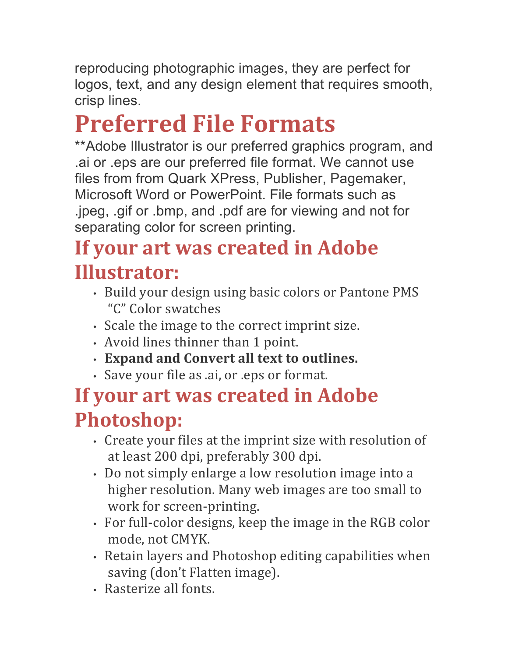reproducing photographic images, they are perfect for logos, text, and any design element that requires smooth, crisp lines.

## **Preferred File Formats**

\*\*Adobe Illustrator is our preferred graphics program, and .ai or .eps are our preferred file format. We cannot use files from from Quark XPress, Publisher, Pagemaker, Microsoft Word or PowerPoint. File formats such as .jpeg, .gif or .bmp, and .pdf are for viewing and not for separating color for screen printing.

#### **If your art was created in Adobe Illustrator:**

- Build your design using basic colors or Pantone PMS "C" Color swatches
- Scale the image to the correct imprint size.
- Avoid lines thinner than 1 point.
- **Expand and Convert all text to outlines.**
- Save your file as .ai, or .eps or format.

#### **If your art was created in Adobe Photoshop:**

- Create your files at the imprint size with resolution of at least 200 dpi, preferably 300 dpi.
- Do not simply enlarge a low resolution image into a higher resolution. Many web images are too small to work for screen-printing.
- For full-color designs, keep the image in the RGB color mode, not CMYK.
- Retain layers and Photoshop editing capabilities when saving (don't Flatten image).
- Rasterize all fonts.